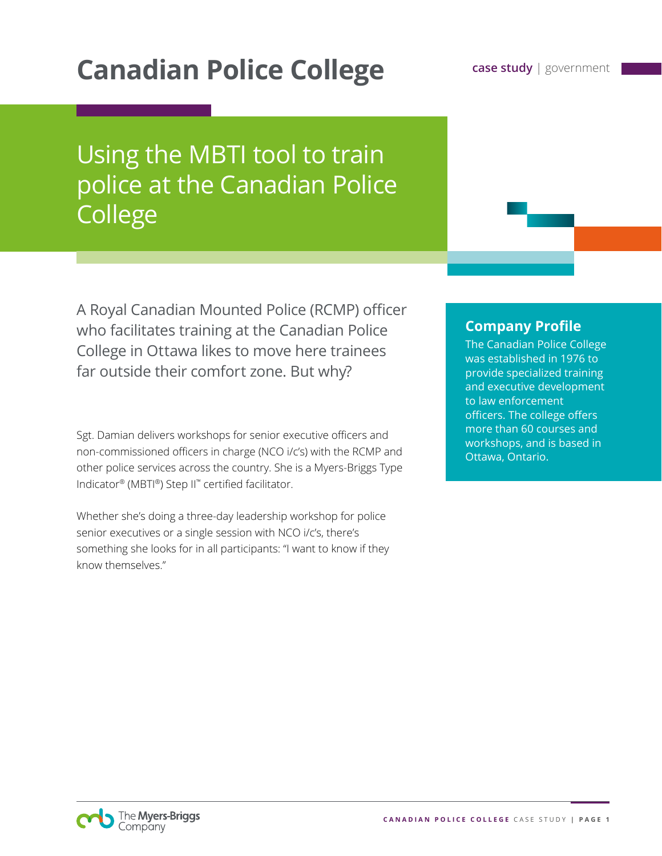# **Canadian Police College Canadian Police College Case study | government**

## Using the MBTI tool to train police at the Canadian Police **College**

A Royal Canadian Mounted Police (RCMP) officer who facilitates training at the Canadian Police College in Ottawa likes to move here trainees far outside their comfort zone. But why?

Sgt. Damian delivers workshops for senior executive officers and non-commissioned officers in charge (NCO i/c's) with the RCMP and other police services across the country. She is a Myers-Briggs Type Indicator® (MBTI®) Step II™ certified facilitator.

Whether she's doing a three-day leadership workshop for police senior executives or a single session with NCO i/c's, there's something she looks for in all participants: "I want to know if they know themselves."

#### **Company Profile**

The Canadian Police College was established in 1976 to provide specialized training and executive development to law enforcement officers. The college offers more than 60 courses and workshops, and is based in Ottawa, Ontario.

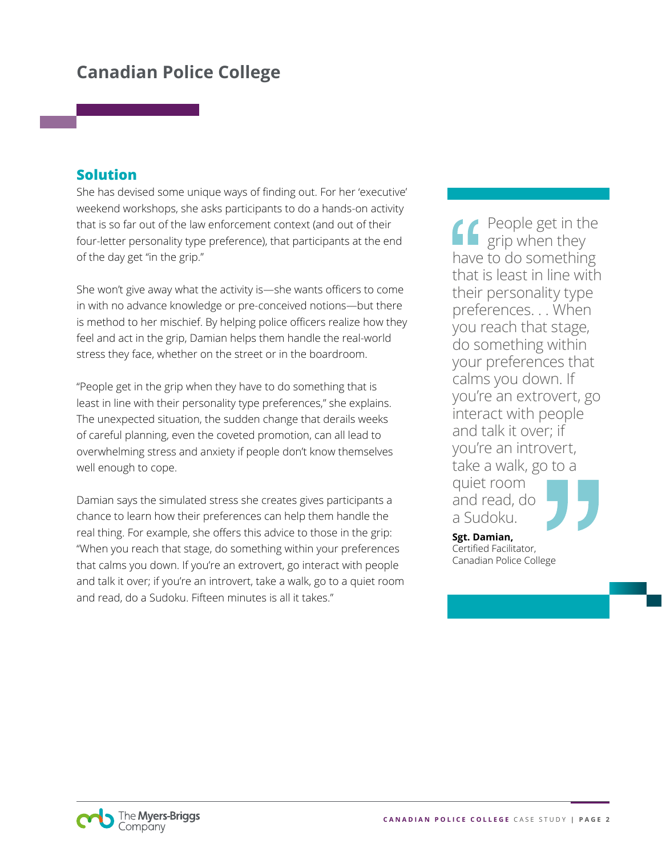## **Canadian Police College**

#### **Solution**

She has devised some unique ways of finding out. For her 'executive' weekend workshops, she asks participants to do a hands-on activity that is so far out of the law enforcement context (and out of their four-letter personality type preference), that participants at the end of the day get "in the grip."

She won't give away what the activity is—she wants officers to come in with no advance knowledge or pre-conceived notions—but there is method to her mischief. By helping police officers realize how they feel and act in the grip, Damian helps them handle the real-world stress they face, whether on the street or in the boardroom.

"People get in the grip when they have to do something that is least in line with their personality type preferences," she explains. The unexpected situation, the sudden change that derails weeks of careful planning, even the coveted promotion, can all lead to overwhelming stress and anxiety if people don't know themselves well enough to cope.

Damian says the simulated stress she creates gives participants a chance to learn how their preferences can help them handle the real thing. For example, she offers this advice to those in the grip: "When you reach that stage, do something within your preferences that calms you down. If you're an extrovert, go interact with people and talk it over; if you're an introvert, take a walk, go to a quiet room and read, do a Sudoku. Fifteen minutes is all it takes."

People get in the grip when they have to do something that is least in line with their personality type preferences. . . When you reach that stage, do something within your preferences that calms you down. If you're an extrovert, go interact with people and talk it over; if you're an introvert, take a walk, go to a quiet room and read, do a Sudoku.

**Sgt. Damian,**  Certified Facilitator, Canadian Police College

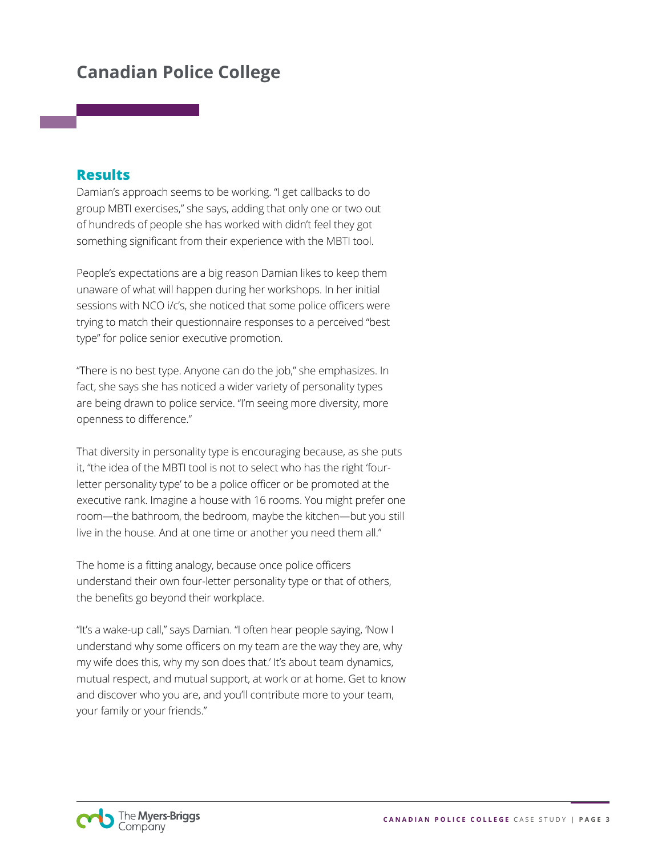## **Canadian Police College**

#### **Results**

Damian's approach seems to be working. "I get callbacks to do group MBTI exercises," she says, adding that only one or two out of hundreds of people she has worked with didn't feel they got something significant from their experience with the MBTI tool.

People's expectations are a big reason Damian likes to keep them unaware of what will happen during her workshops. In her initial sessions with NCO i/c's, she noticed that some police officers were trying to match their questionnaire responses to a perceived "best type" for police senior executive promotion.

"There is no best type. Anyone can do the job," she emphasizes. In fact, she says she has noticed a wider variety of personality types are being drawn to police service. "I'm seeing more diversity, more openness to difference."

That diversity in personality type is encouraging because, as she puts it, "the idea of the MBTI tool is not to select who has the right 'fourletter personality type' to be a police officer or be promoted at the executive rank. Imagine a house with 16 rooms. You might prefer one room—the bathroom, the bedroom, maybe the kitchen—but you still live in the house. And at one time or another you need them all."

The home is a fitting analogy, because once police officers understand their own four-letter personality type or that of others, the benefits go beyond their workplace.

"It's a wake-up call," says Damian. "I often hear people saying, 'Now I understand why some officers on my team are the way they are, why my wife does this, why my son does that.' It's about team dynamics, mutual respect, and mutual support, at work or at home. Get to know and discover who you are, and you'll contribute more to your team, your family or your friends."